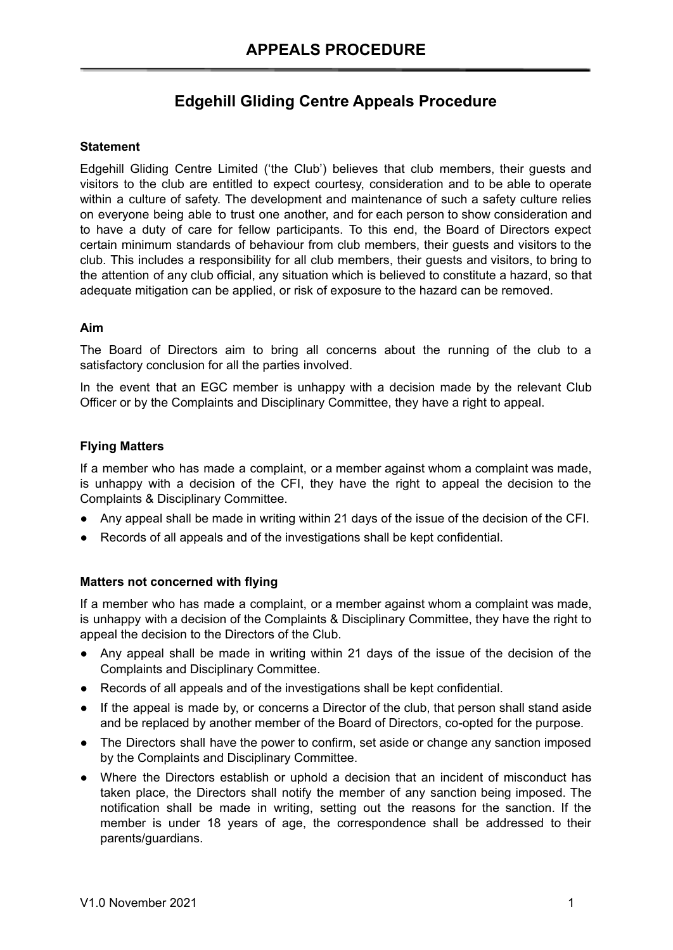# **Edgehill Gliding Centre Appeals Procedure**

## **Statement**

Edgehill Gliding Centre Limited ('the Club') believes that club members, their guests and visitors to the club are entitled to expect courtesy, consideration and to be able to operate within a culture of safety. The development and maintenance of such a safety culture relies on everyone being able to trust one another, and for each person to show consideration and to have a duty of care for fellow participants. To this end, the Board of Directors expect certain minimum standards of behaviour from club members, their guests and visitors to the club. This includes a responsibility for all club members, their guests and visitors, to bring to the attention of any club official, any situation which is believed to constitute a hazard, so that adequate mitigation can be applied, or risk of exposure to the hazard can be removed.

## **Aim**

The Board of Directors aim to bring all concerns about the running of the club to a satisfactory conclusion for all the parties involved.

In the event that an EGC member is unhappy with a decision made by the relevant Club Officer or by the Complaints and Disciplinary Committee, they have a right to appeal.

## **Flying Matters**

If a member who has made a complaint, or a member against whom a complaint was made, is unhappy with a decision of the CFI, they have the right to appeal the decision to the Complaints & Disciplinary Committee.

- Any appeal shall be made in writing within 21 days of the issue of the decision of the CFI.
- Records of all appeals and of the investigations shall be kept confidential.

#### **Matters not concerned with flying**

If a member who has made a complaint, or a member against whom a complaint was made, is unhappy with a decision of the Complaints & Disciplinary Committee, they have the right to appeal the decision to the Directors of the Club.

- Any appeal shall be made in writing within 21 days of the issue of the decision of the Complaints and Disciplinary Committee.
- Records of all appeals and of the investigations shall be kept confidential.
- If the appeal is made by, or concerns a Director of the club, that person shall stand aside and be replaced by another member of the Board of Directors, co-opted for the purpose.
- The Directors shall have the power to confirm, set aside or change any sanction imposed by the Complaints and Disciplinary Committee.
- Where the Directors establish or uphold a decision that an incident of misconduct has taken place, the Directors shall notify the member of any sanction being imposed. The notification shall be made in writing, setting out the reasons for the sanction. If the member is under 18 years of age, the correspondence shall be addressed to their parents/guardians.